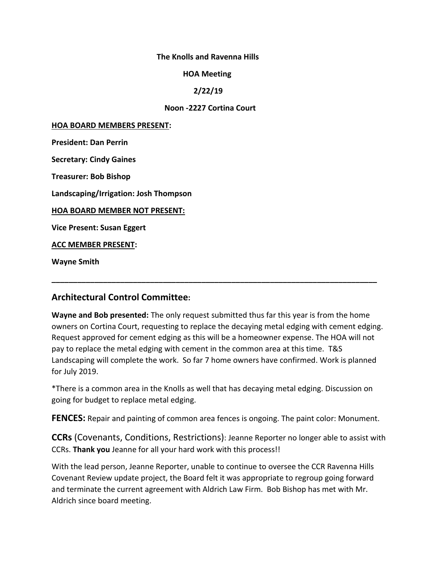#### **The Knolls and Ravenna Hills**

#### **HOA Meeting**

#### **2/22/19**

#### **Noon -2227 Cortina Court**

#### **HOA BOARD MEMBERS PRESENT:**

**President: Dan Perrin**

**Secretary: Cindy Gaines**

**Treasurer: Bob Bishop**

**Landscaping/Irrigation: Josh Thompson**

**HOA BOARD MEMBER NOT PRESENT:**

**Vice Present: Susan Eggert**

**ACC MEMBER PRESENT:**

**Wayne Smith**

# **Architectural Control Committee:**

**Wayne and Bob presented:** The only request submitted thus far this year is from the home owners on Cortina Court, requesting to replace the decaying metal edging with cement edging. Request approved for cement edging as this will be a homeowner expense. The HOA will not pay to replace the metal edging with cement in the common area at this time. T&S Landscaping will complete the work. So far 7 home owners have confirmed. Work is planned for July 2019.

**\_\_\_\_\_\_\_\_\_\_\_\_\_\_\_\_\_\_\_\_\_\_\_\_\_\_\_\_\_\_\_\_\_\_\_\_\_\_\_\_\_\_\_\_\_\_\_\_\_\_\_\_\_\_\_\_\_\_\_\_\_\_\_\_\_\_\_\_\_\_\_\_\_\_\_\_**

\*There is a common area in the Knolls as well that has decaying metal edging. Discussion on going for budget to replace metal edging.

**FENCES:** Repair and painting of common area fences is ongoing. The paint color: Monument.

**CCRs** (Covenants, Conditions, Restrictions): Jeanne Reporter no longer able to assist with CCRs. **Thank you** Jeanne for all your hard work with this process!!

With the lead person, Jeanne Reporter, unable to continue to oversee the CCR Ravenna Hills Covenant Review update project, the Board felt it was appropriate to regroup going forward and terminate the current agreement with Aldrich Law Firm. Bob Bishop has met with Mr. Aldrich since board meeting.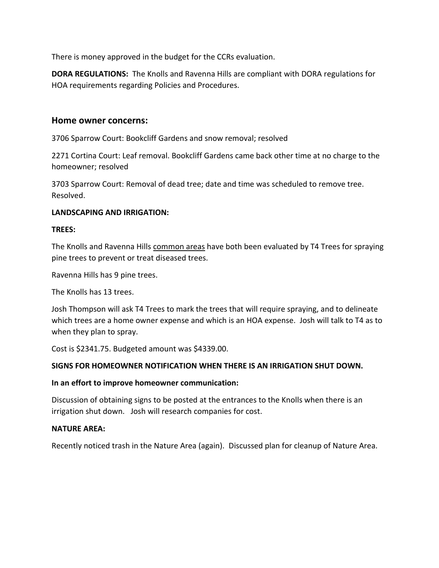There is money approved in the budget for the CCRs evaluation.

**DORA REGULATIONS:** The Knolls and Ravenna Hills are compliant with DORA regulations for HOA requirements regarding Policies and Procedures.

## **Home owner concerns:**

3706 Sparrow Court: Bookcliff Gardens and snow removal; resolved

2271 Cortina Court: Leaf removal. Bookcliff Gardens came back other time at no charge to the homeowner; resolved

3703 Sparrow Court: Removal of dead tree; date and time was scheduled to remove tree. Resolved.

## **LANDSCAPING AND IRRIGATION:**

#### **TREES:**

The Knolls and Ravenna Hills common areas have both been evaluated by T4 Trees for spraying pine trees to prevent or treat diseased trees.

Ravenna Hills has 9 pine trees.

The Knolls has 13 trees.

Josh Thompson will ask T4 Trees to mark the trees that will require spraying, and to delineate which trees are a home owner expense and which is an HOA expense. Josh will talk to T4 as to when they plan to spray.

Cost is \$2341.75. Budgeted amount was \$4339.00.

#### **SIGNS FOR HOMEOWNER NOTIFICATION WHEN THERE IS AN IRRIGATION SHUT DOWN.**

#### **In an effort to improve homeowner communication:**

Discussion of obtaining signs to be posted at the entrances to the Knolls when there is an irrigation shut down. Josh will research companies for cost.

#### **NATURE AREA:**

Recently noticed trash in the Nature Area (again). Discussed plan for cleanup of Nature Area.